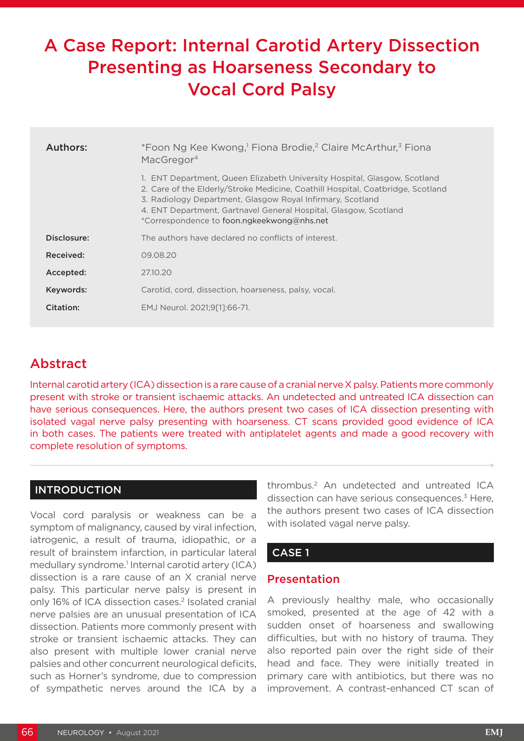# A Case Report: Internal Carotid Artery Dissection Presenting as Hoarseness Secondary to Vocal Cord Palsy

| Authors:    | *Foon Ng Kee Kwong, <sup>1</sup> Fiona Brodie, <sup>2</sup> Claire McArthur, <sup>3</sup> Fiona<br>MacGregor <sup>4</sup>                                                                                                                                                                                                                    |
|-------------|----------------------------------------------------------------------------------------------------------------------------------------------------------------------------------------------------------------------------------------------------------------------------------------------------------------------------------------------|
|             | 1. ENT Department, Queen Elizabeth University Hospital, Glasgow, Scotland<br>2. Care of the Elderly/Stroke Medicine, Coathill Hospital, Coatbridge, Scotland<br>3. Radiology Department, Glasgow Royal Infirmary, Scotland<br>4. ENT Department, Gartnavel General Hospital, Glasgow, Scotland<br>*Correspondence to foon.ngkeekwong@nhs.net |
| Disclosure: | The authors have declared no conflicts of interest.                                                                                                                                                                                                                                                                                          |
| Received:   | 09.08.20                                                                                                                                                                                                                                                                                                                                     |
| Accepted:   | 27.10.20                                                                                                                                                                                                                                                                                                                                     |
| Keywords:   | Carotid, cord, dissection, hoarseness, palsy, vocal.                                                                                                                                                                                                                                                                                         |
| Citation:   | EMJ Neurol. 2021:9[11:66-71.                                                                                                                                                                                                                                                                                                                 |

## Abstract

Internal carotid artery (ICA) dissection is a rare cause of a cranial nerve X palsy. Patients more commonly present with stroke or transient ischaemic attacks. An undetected and untreated ICA dissection can have serious consequences. Here, the authors present two cases of ICA dissection presenting with isolated vagal nerve palsy presenting with hoarseness. CT scans provided good evidence of ICA in both cases. The patients were treated with antiplatelet agents and made a good recovery with complete resolution of symptoms.

#### INTRODUCTION

Vocal cord paralysis or weakness can be a symptom of malignancy, caused by viral infection, iatrogenic, a result of trauma, idiopathic, or a result of brainstem infarction, in particular lateral medullary syndrome.<sup>1</sup> Internal carotid artery (ICA) dissection is a rare cause of an X cranial nerve palsy. This particular nerve palsy is present in only 16% of ICA dissection cases.<sup>2</sup> Isolated cranial nerve palsies are an unusual presentation of ICA dissection. Patients more commonly present with stroke or transient ischaemic attacks. They can also present with multiple lower cranial nerve palsies and other concurrent neurological deficits, such as Horner's syndrome, due to compression of sympathetic nerves around the ICA by a

thrombus.2 An undetected and untreated ICA dissection can have serious consequences.<sup>3</sup> Here, the authors present two cases of ICA dissection with isolated vagal nerve palsy.

#### CASE 1

#### Presentation

A previously healthy male, who occasionally smoked, presented at the age of 42 with a sudden onset of hoarseness and swallowing difficulties, but with no history of trauma. They also reported pain over the right side of their head and face. They were initially treated in primary care with antibiotics, but there was no improvement. A contrast-enhanced CT scan of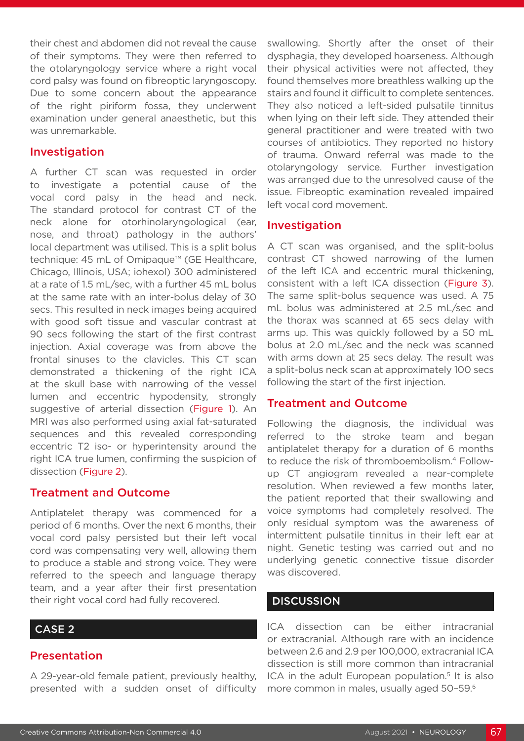their chest and abdomen did not reveal the cause of their symptoms. They were then referred to the otolaryngology service where a right vocal cord palsy was found on fibreoptic laryngoscopy. Due to some concern about the appearance of the right piriform fossa, they underwent examination under general anaesthetic, but this was unremarkable.

#### Investigation

A further CT scan was requested in order to investigate a potential cause of the vocal cord palsy in the head and neck. The standard protocol for contrast CT of the neck alone for otorhinolaryngological (ear, nose, and throat) pathology in the authors' local department was utilised. This is a split bolus technique: 45 mL of Omipaque™ (GE Healthcare, Chicago, Illinois, USA; iohexol) 300 administered at a rate of 1.5 mL/sec, with a further 45 mL bolus at the same rate with an inter-bolus delay of 30 secs. This resulted in neck images being acquired with good soft tissue and vascular contrast at 90 secs following the start of the first contrast injection. Axial coverage was from above the frontal sinuses to the clavicles. This CT scan demonstrated a thickening of the right ICA at the skull base with narrowing of the vessel lumen and eccentric hypodensity, strongly suggestive of arterial dissection (Figure 1). An MRI was also performed using axial fat-saturated sequences and this revealed corresponding eccentric T2 iso- or hyperintensity around the right ICA true lumen, confirming the suspicion of dissection (Figure 2).

#### Treatment and Outcome

Antiplatelet therapy was commenced for a period of 6 months. Over the next 6 months, their vocal cord palsy persisted but their left vocal cord was compensating very well, allowing them to produce a stable and strong voice. They were referred to the speech and language therapy team, and a year after their first presentation their right vocal cord had fully recovered.

#### CASE 2

#### Presentation

A 29-year-old female patient, previously healthy, presented with a sudden onset of difficulty

swallowing. Shortly after the onset of their dysphagia, they developed hoarseness. Although their physical activities were not affected, they found themselves more breathless walking up the stairs and found it difficult to complete sentences. They also noticed a left-sided pulsatile tinnitus when lying on their left side. They attended their general practitioner and were treated with two courses of antibiotics. They reported no history of trauma. Onward referral was made to the otolaryngology service. Further investigation was arranged due to the unresolved cause of the issue. Fibreoptic examination revealed impaired left vocal cord movement.

#### Investigation

A CT scan was organised, and the split-bolus contrast CT showed narrowing of the lumen of the left ICA and eccentric mural thickening, consistent with a left ICA dissection (Figure 3). The same split-bolus sequence was used. A 75 mL bolus was administered at 2.5 mL/sec and the thorax was scanned at 65 secs delay with arms up. This was quickly followed by a 50 mL bolus at 2.0 mL/sec and the neck was scanned with arms down at 25 secs delay. The result was a split-bolus neck scan at approximately 100 secs following the start of the first injection.

#### Treatment and Outcome

Following the diagnosis, the individual was referred to the stroke team and began antiplatelet therapy for a duration of 6 months to reduce the risk of thromboembolism.4 Followup CT angiogram revealed a near-complete resolution. When reviewed a few months later, the patient reported that their swallowing and voice symptoms had completely resolved. The only residual symptom was the awareness of intermittent pulsatile tinnitus in their left ear at night. Genetic testing was carried out and no underlying genetic connective tissue disorder was discovered.

### **DISCUSSION**

ICA dissection can be either intracranial or extracranial. Although rare with an incidence between 2.6 and 2.9 per 100,000, extracranial ICA dissection is still more common than intracranial ICA in the adult European population.<sup>5</sup> It is also more common in males, usually aged 50-59.<sup>6</sup>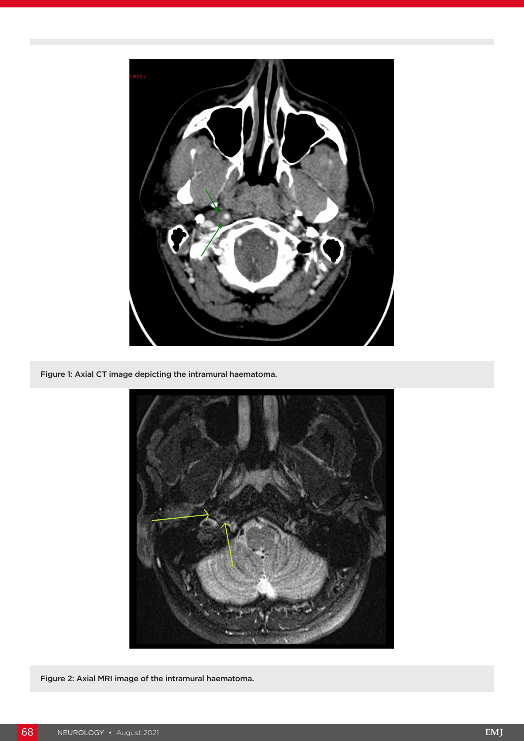

Figure 1: Axial CT image depicting the intramural haematoma.



Figure 2: Axial MRI image of the intramural haematoma.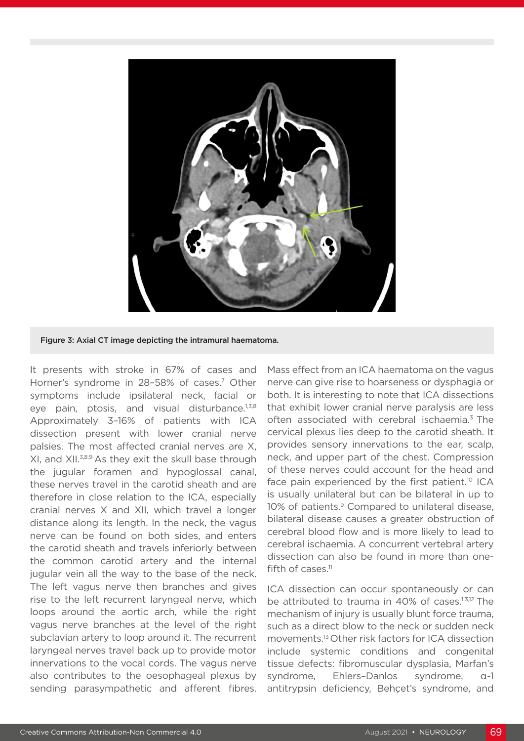

Figure 3: Axial CT image depicting the intramural haematoma.

It presents with stroke in 67% of cases and Horner's syndrome in 28-58% of cases.<sup>7</sup> Other symptoms include ipsilateral neck, facial or eye pain, ptosis, and visual disturbance.<sup>1,3,8</sup> Approximately 3–16% of patients with ICA dissection present with lower cranial nerve palsies. The most affected cranial nerves are X, XI, and XII.3,8,9 As they exit the skull base through the jugular foramen and hypoglossal canal, these nerves travel in the carotid sheath and are therefore in close relation to the ICA, especially cranial nerves X and XII, which travel a longer distance along its length. In the neck, the vagus nerve can be found on both sides, and enters the carotid sheath and travels inferiorly between the common carotid artery and the internal jugular vein all the way to the base of the neck. The left vagus nerve then branches and gives rise to the left recurrent laryngeal nerve, which loops around the aortic arch, while the right vagus nerve branches at the level of the right subclavian artery to loop around it. The recurrent laryngeal nerves travel back up to provide motor innervations to the vocal cords. The vagus nerve also contributes to the oesophageal plexus by sending parasympathetic and afferent fibres.

Mass effect from an ICA haematoma on the vagus nerve can give rise to hoarseness or dysphagia or both. It is interesting to note that ICA dissections that exhibit lower cranial nerve paralysis are less often associated with cerebral ischaemia.<sup>3</sup> The cervical plexus lies deep to the carotid sheath. It provides sensory innervations to the ear, scalp, neck, and upper part of the chest. Compression of these nerves could account for the head and face pain experienced by the first patient.<sup>10</sup> ICA is usually unilateral but can be bilateral in up to 10% of patients.<sup>9</sup> Compared to unilateral disease, bilateral disease causes a greater obstruction of cerebral blood flow and is more likely to lead to cerebral ischaemia. A concurrent vertebral artery dissection can also be found in more than onefifth of cases.<sup>11</sup>

ICA dissection can occur spontaneously or can be attributed to trauma in 40% of cases.<sup>1,3,12</sup> The mechanism of injury is usually blunt force trauma, such as a direct blow to the neck or sudden neck movements.13 Other risk factors for ICA dissection include systemic conditions and congenital tissue defects: fibromuscular dysplasia, Marfan's syndrome, Ehlers–Danlos syndrome, α-1 antitrypsin deficiency, Behçet's syndrome, and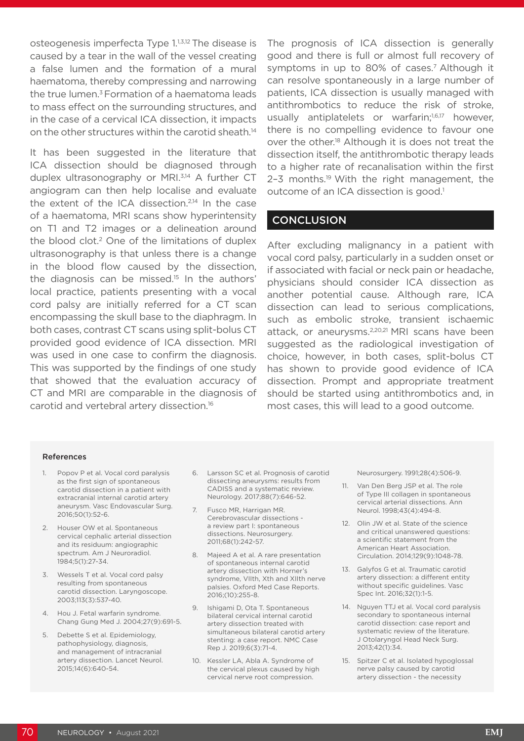osteogenesis imperfecta Type 1.1,3,12 The disease is caused by a tear in the wall of the vessel creating a false lumen and the formation of a mural haematoma, thereby compressing and narrowing the true lumen. $3$  Formation of a haematoma leads to mass effect on the surrounding structures, and in the case of a cervical ICA dissection, it impacts on the other structures within the carotid sheath.<sup>14</sup>

It has been suggested in the literature that ICA dissection should be diagnosed through duplex ultrasonography or MRI.<sup>3,14</sup> A further CT angiogram can then help localise and evaluate the extent of the ICA dissection.<sup>2,14</sup> In the case of a haematoma, MRI scans show hyperintensity on T1 and T2 images or a delineation around the blood clot.<sup>2</sup> One of the limitations of duplex ultrasonography is that unless there is a change in the blood flow caused by the dissection, the diagnosis can be missed.<sup>15</sup> In the authors' local practice, patients presenting with a vocal cord palsy are initially referred for a CT scan encompassing the skull base to the diaphragm. In both cases, contrast CT scans using split-bolus CT provided good evidence of ICA dissection. MRI was used in one case to confirm the diagnosis. This was supported by the findings of one study that showed that the evaluation accuracy of CT and MRI are comparable in the diagnosis of carotid and vertebral artery dissection.16

The prognosis of ICA dissection is generally good and there is full or almost full recovery of symptoms in up to 80% of cases.<sup>7</sup> Although it can resolve spontaneously in a large number of patients, ICA dissection is usually managed with antithrombotics to reduce the risk of stroke, usually antiplatelets or warfarin;<sup>1,6,17</sup> however, there is no compelling evidence to favour one over the other.18 Although it is does not treat the dissection itself, the antithrombotic therapy leads to a higher rate of recanalisation within the first 2-3 months.<sup>19</sup> With the right management, the outcome of an ICA dissection is good.<sup>1</sup>

#### **CONCLUSION**

After excluding malignancy in a patient with vocal cord palsy, particularly in a sudden onset or if associated with facial or neck pain or headache, physicians should consider ICA dissection as another potential cause. Although rare, ICA dissection can lead to serious complications, such as embolic stroke, transient ischaemic attack, or aneurysms.<sup>2,20,21</sup> MRI scans have been suggested as the radiological investigation of choice, however, in both cases, split-bolus CT has shown to provide good evidence of ICA dissection. Prompt and appropriate treatment should be started using antithrombotics and, in most cases, this will lead to a good outcome.

#### References

- 1. Popov P et al. Vocal cord paralysis as the first sign of spontaneous carotid dissection in a patient with extracranial internal carotid artery aneurysm. Vasc Endovascular Surg. 2016;50(1):52-6.
- 2. Houser OW et al. Spontaneous cervical cephalic arterial dissection and its residuum: angiographic spectrum. Am J Neuroradiol. 1984;5(1):27-34.
- 3. Wessels T et al. Vocal cord palsy resulting from spontaneous carotid dissection. Laryngoscope. 2003;113(3):537-40.
- 4. Hou J. Fetal warfarin syndrome. Chang Gung Med J. 2004;27(9):691-5.
- 5. Debette S et al. Epidemiology, pathophysiology, diagnosis, and management of intracranial artery dissection. Lancet Neurol. 2015;14(6):640-54.
- 6. Larsson SC et al. Prognosis of carotid dissecting aneurysms: results from CADISS and a systematic review. Neurology. 2017;88(7):646-52.
- 7. Fusco MR, Harrigan MR. Cerebrovascular dissections a review part I: spontaneous dissections. Neurosurgery. 2011;68(1):242-57.
- 8. Majeed A et al. A rare presentation of spontaneous internal carotid artery dissection with Horner's syndrome, VIIth, Xth and XIIth nerve palsies. Oxford Med Case Reports. 2016;(10):255-8.
- 9. Ishigami D, Ota T. Spontaneous bilateral cervical internal carotid artery dissection treated with simultaneous bilateral carotid artery stenting: a case report. NMC Case Rep J. 2019;6(3):71-4.
- 10. Kessler LA, Abla A. Syndrome of the cervical plexus caused by high cervical nerve root compression.

Neurosurgery. 1991;28(4):506-9.

- 11. Van Den Berg JSP et al. The role of Type III collagen in spontaneous cervical arterial dissections. Ann Neurol. 1998;43(4):494-8.
- 12. Olin JW et al. State of the science and critical unanswered questions: a scientific statement from the American Heart Association. Circulation. 2014;129(9):1048-78.
- 13. Galyfos G et al. Traumatic carotid artery dissection: a different entity without specific guidelines. Vasc Spec Int. 2016;32(1):1-5.
- 14. Nguyen TTJ et al. Vocal cord paralysis secondary to spontaneous internal carotid dissection: case report and systematic review of the literature. J Otolaryngol Head Neck Surg. 2013;42(1):34.
- 15. Spitzer C et al. Isolated hypoglossal nerve palsy caused by carotid artery dissection - the necessity